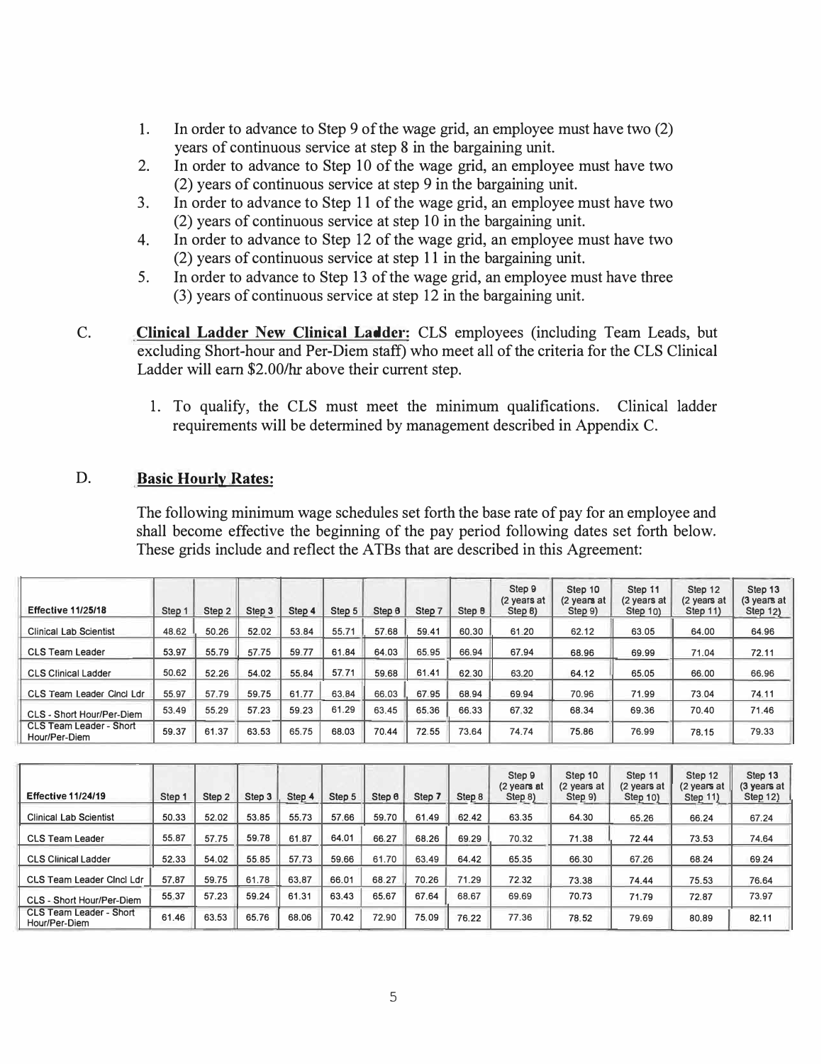- 1. In order to advance to Step 9 of the wage grid, an employee must have two (2) years of continuous service at step 8 in the bargaining unit.
- 2. In order to advance to Step 10 of the wage grid, an employee must have two (2) years of continuous service at step 9 in the bargaining unit.
- 3. In order to advance to Step 11 of the wage grid, an employee must have two (2) years of continuous service at step 10 in the bargaining unit.
- 4. In order to advance to Step 12 of the wage grid, an employee must have two (2) years of continuous service at step 11 in the bargaining unit.
- 5. In order to advance to Step 13 of the wage grid, an employee must have three (3) years of continuous service at step 12 in the bargaining unit.
- C. **Clinical Ladder New Clinical Ladder:** CLS employees (including Team Leads, but excluding Short-hour and Per-Diem staff) who meet all of the criteria for the CLS Clinical Ladder will earn \$2.00/hr above their current step.
	- I. To qualify, the CLS must meet the minimum qualifications. Clinical ladder requirements will be determined by management described in Appendix C.

# D. **Basic Hourly Rates:**

The following minimum wage schedules set forth the base rate of pay for an employee and shall become effective the beginning of the pay period following dates set forth below. These grids include and reflect the ATBs that are described in this Agreement:

| <b>Effective 11/25/18</b>                       | Step 1 | Step <sub>2</sub> | Step 3 | Step 4 | Step 5 | Step 8 | Step 7 | Step 8 | Step 9<br>(2 years at<br>Step B) | Step 10<br>(2 years at<br>Step 9) | Step 11<br>(2 years at<br>Step 10) | Step 12<br>(2 years at<br>Step 11) | Step 13<br>(3 years at<br>Step 12) |
|-------------------------------------------------|--------|-------------------|--------|--------|--------|--------|--------|--------|----------------------------------|-----------------------------------|------------------------------------|------------------------------------|------------------------------------|
| <b>Clinical Lab Scientist</b>                   | 48.62  | 50.26             | 52.02  | 53.84  | 55.71  | 57.68  | 59.41  | 60.30  | 61.20                            | 62.12                             | 63.05                              | 64.00                              | 64.96                              |
| <b>CLS Team Leader</b>                          | 53.97  | 55.79             | 57.75  | 59.77  | 61.84  | 64.03  | 65.95  | 66.94  | 67.94                            | 68.96                             | 69.99                              | 71.04                              | 72.11                              |
| <b>CLS Clinical Ladder</b>                      | 50.62  | 52.26             | 54.02  | 55.84  | 57.71  | 59.68  | 61.41  | 62.30  | 63.20                            | 64.12                             | 65.05                              | 66.00                              | 66.96                              |
| CLS Team Leader Cinci Ldr                       | 55.97  | 57.79             | 59.75  | 61.77  | 63.84  | 66.03  | 67.95  | 68.94  | 69.94                            | 70.96                             | 71.99                              | 73.04                              | 74.11                              |
| CLS - Short Hour/Per-Diem                       | 53.49  | 55.29             | 57.23  | 59.23  | 61.29  | 63.45  | 65.36  | 66.33  | 67.32                            | 68.34                             | 69.36                              | 70.40                              | 71.46                              |
| <b>CLS Team Leader - Short</b><br>Hour/Per-Diem | 59.37  | 61.37             | 63.53  | 65.75  | 68.03  | 70.44  | 72.55  | 73.64  | 74.74                            | 75.86                             | 76.99                              | 78.15                              | 79.33                              |

| <b>Effective 11/24/19</b>                | Step 1 | Step 2 | Step 3 | Step 4 | Step 5 | Step 6 | Step 7 | Step 8 | Step 9<br>(2 years at<br>Step 8) | Step 10<br>(2 years at<br>Step 9) | Step 11<br>(2 years at<br>Step 10) | Step 12<br>(2 years at<br><b>Step 11)</b> | Step 13<br>(3 years at<br>Step 12) |
|------------------------------------------|--------|--------|--------|--------|--------|--------|--------|--------|----------------------------------|-----------------------------------|------------------------------------|-------------------------------------------|------------------------------------|
| <b>Clinical Lab Scientist</b>            | 50.33  | 52.02  | 53.85  | 55.73  | 57.66  | 59.70  | 61.49  | 62.42  | 63.35                            | 64.30                             | 65.26                              | 66.24                                     | 67.24                              |
| <b>CLS Team Leader</b>                   | 55.87  | 57.75  | 59.78  | 61.87  | 64.01  | 66.27  | 68.26  | 69.29  | 70.32                            | 71.38                             | 72.44                              | 73.53                                     | 74.64                              |
| <b>CLS Clinical Ladder</b>               | 52.33  | 54.02  | 55.85  | 57.73  | 59.66  | 61.70  | 63.49  | 64.42  | 65.35                            | 66.30                             | 67.26                              | 68.24                                     | 69.24                              |
| CLS Team Leader Cinci Ldr                | 57.87  | 59.75  | 61.78  | 63.87  | 66.01  | 68.27  | 70.26  | 71.29  | 72.32                            | 73.38                             | 74.44                              | 75.53                                     | 76.64                              |
| CLS - Short Hour/Per-Diem                | 55.37  | 57.23  | 59.24  | 61.31  | 63.43  | 65.67  | 67.64  | 68.67  | 69.69                            | 70.73                             | 71.79                              | 72.87                                     | 73.97                              |
| CLS Team Leader - Short<br>Hour/Per-Diem | 61.46  | 63.53  | 65.76  | 68.06  | 70.42  | 72.90  | 75.09  | 76.22  | 77.36                            | 78.52                             | 79.69                              | 80.89                                     | 82.11                              |